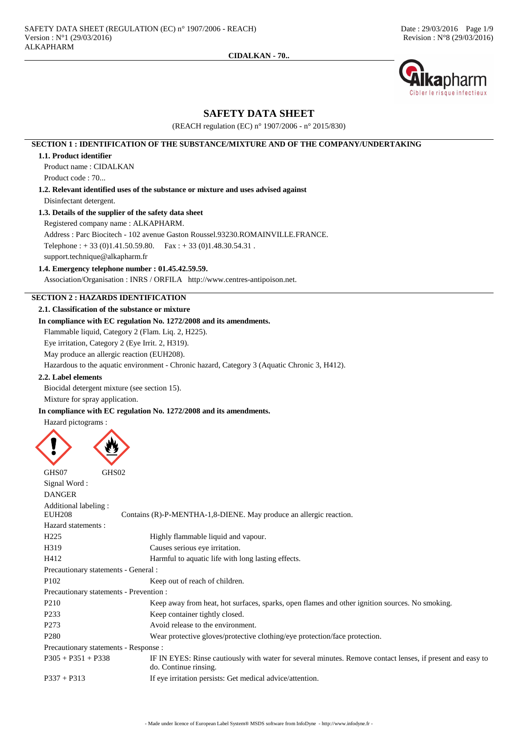

# **SAFETY DATA SHEET**

(REACH regulation (EC) n° 1907/2006 - n° 2015/830)

# **SECTION 1 : IDENTIFICATION OF THE SUBSTANCE/MIXTURE AND OF THE COMPANY/UNDERTAKING**

#### **1.1. Product identifier**

Product name : CIDALKAN Product code : 70...

**1.2. Relevant identified uses of the substance or mixture and uses advised against** Disinfectant detergent.

# **1.3. Details of the supplier of the safety data sheet**

Registered company name : ALKAPHARM.

Address : Parc Biocitech - 102 avenue Gaston Roussel.93230.ROMAINVILLE.FRANCE.

Telephone :  $+ 33 (0)1.41.50.59.80$ . Fax :  $+ 33 (0)1.48.30.54.31$ .

support.technique@alkapharm.fr

# **1.4. Emergency telephone number : 01.45.42.59.59.**

Association/Organisation : INRS / ORFILA http://www.centres-antipoison.net.

# **SECTION 2 : HAZARDS IDENTIFICATION**

# **2.1. Classification of the substance or mixture**

# **In compliance with EC regulation No. 1272/2008 and its amendments.**

Flammable liquid, Category 2 (Flam. Liq. 2, H225).

Eye irritation, Category 2 (Eye Irrit. 2, H319).

May produce an allergic reaction (EUH208).

Hazardous to the aquatic environment - Chronic hazard, Category 3 (Aquatic Chronic 3, H412).

# **2.2. Label elements**

Biocidal detergent mixture (see section 15). Mixture for spray application.

## **In compliance with EC regulation No. 1272/2008 and its amendments.**

Hazard pictograms :

| GHS07<br>GHS02                          |                                                                                                                                     |
|-----------------------------------------|-------------------------------------------------------------------------------------------------------------------------------------|
| Signal Word:                            |                                                                                                                                     |
| <b>DANGER</b>                           |                                                                                                                                     |
| Additional labeling:                    |                                                                                                                                     |
| <b>EUH208</b>                           | Contains (R)-P-MENTHA-1,8-DIENE. May produce an allergic reaction.                                                                  |
| Hazard statements:                      |                                                                                                                                     |
| H <sub>225</sub>                        | Highly flammable liquid and vapour.                                                                                                 |
| H319                                    | Causes serious eye irritation.                                                                                                      |
| H412                                    | Harmful to aquatic life with long lasting effects.                                                                                  |
| Precautionary statements - General :    |                                                                                                                                     |
| P <sub>102</sub>                        | Keep out of reach of children.                                                                                                      |
| Precautionary statements - Prevention : |                                                                                                                                     |
| P <sub>210</sub>                        | Keep away from heat, hot surfaces, sparks, open flames and other ignition sources. No smoking.                                      |
| P <sub>2</sub> 33                       | Keep container tightly closed.                                                                                                      |
| P <sub>273</sub>                        | Avoid release to the environment.                                                                                                   |
| P <sub>280</sub>                        | Wear protective gloves/protective clothing/eye protection/face protection.                                                          |
| Precautionary statements - Response :   |                                                                                                                                     |
| $P305 + P351 + P338$                    | IF IN EYES: Rinse cautiously with water for several minutes. Remove contact lenses, if present and easy to<br>do. Continue rinsing. |
| $P337 + P313$                           | If eye irritation persists: Get medical advice/attention.                                                                           |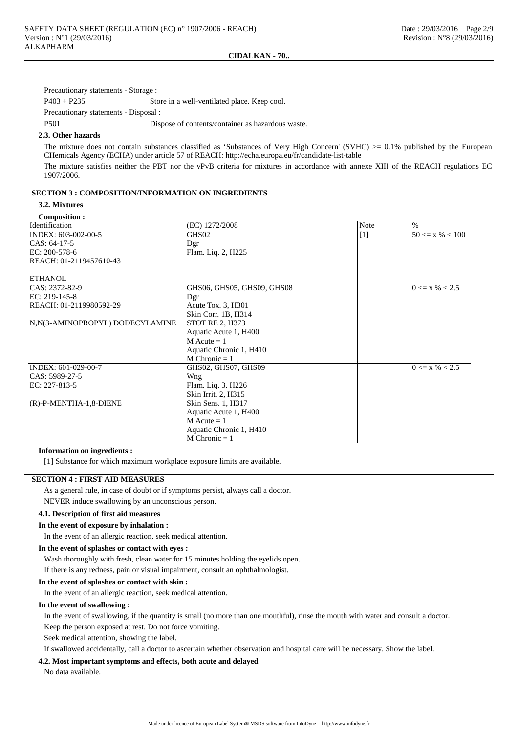Precautionary statements - Storage :

P403 + P235 Store in a well-ventilated place. Keep cool.

Precautionary statements - Disposal :

P501 Dispose of contents/container as hazardous waste.

#### **2.3. Other hazards**

The mixture does not contain substances classified as 'Substances of Very High Concern' (SVHC)  $>0.1\%$  published by the European CHemicals Agency (ECHA) under article 57 of REACH: http://echa.europa.eu/fr/candidate-list-table

The mixture satisfies neither the PBT nor the vPvB criteria for mixtures in accordance with annexe XIII of the REACH regulations EC 1907/2006.

#### **SECTION 3 : COMPOSITION/INFORMATION ON INGREDIENTS**

# **3.2. Mixtures**

**Composition :**

| Identification                  | (EC) 1272/2008             | <b>Note</b> | $\%$                |
|---------------------------------|----------------------------|-------------|---------------------|
| INDEX: 603-002-00-5             | GHS02                      | $[1]$       | $50 \le x \% < 100$ |
| CAS: 64-17-5                    | Dgr                        |             |                     |
| EC: $200-578-6$                 | Flam. Liq. 2, H225         |             |                     |
| REACH: 01-2119457610-43         |                            |             |                     |
|                                 |                            |             |                     |
| ETHANOL                         |                            |             |                     |
| CAS: 2372-82-9                  | GHS06, GHS05, GHS09, GHS08 |             | $0 \le x \% < 2.5$  |
| EC: 219-145-8                   | Dgr                        |             |                     |
| REACH: 01-2119980592-29         | Acute Tox. 3, H301         |             |                     |
|                                 | Skin Corr. 1B, H314        |             |                     |
| N,N(3-AMINOPROPYL) DODECYLAMINE | <b>STOT RE 2, H373</b>     |             |                     |
|                                 | Aquatic Acute 1, H400      |             |                     |
|                                 | $M$ Acute = 1              |             |                     |
|                                 | Aquatic Chronic 1, H410    |             |                     |
|                                 | $M$ Chronic = 1            |             |                     |
| INDEX: 601-029-00-7             | GHS02, GHS07, GHS09        |             | $0 \le x \% < 2.5$  |
| CAS: 5989-27-5                  | Wng                        |             |                     |
| EC: 227-813-5                   | Flam. Liq. 3, H226         |             |                     |
|                                 | Skin Irrit. 2, H315        |             |                     |
| (R)-P-MENTHA-1,8-DIENE          | Skin Sens. 1, H317         |             |                     |
|                                 | Aquatic Acute 1, H400      |             |                     |
|                                 | $M$ Acute = 1              |             |                     |
|                                 | Aquatic Chronic 1, H410    |             |                     |
|                                 | $M$ Chronic = 1            |             |                     |

#### **Information on ingredients :**

[1] Substance for which maximum workplace exposure limits are available.

# **SECTION 4 : FIRST AID MEASURES**

As a general rule, in case of doubt or if symptoms persist, always call a doctor.

NEVER induce swallowing by an unconscious person.

# **4.1. Description of first aid measures**

#### **In the event of exposure by inhalation :**

In the event of an allergic reaction, seek medical attention.

#### **In the event of splashes or contact with eyes :**

Wash thoroughly with fresh, clean water for 15 minutes holding the eyelids open.

If there is any redness, pain or visual impairment, consult an ophthalmologist.

# **In the event of splashes or contact with skin :**

In the event of an allergic reaction, seek medical attention.

## **In the event of swallowing :**

In the event of swallowing, if the quantity is small (no more than one mouthful), rinse the mouth with water and consult a doctor. Keep the person exposed at rest. Do not force vomiting.

Seek medical attention, showing the label.

If swallowed accidentally, call a doctor to ascertain whether observation and hospital care will be necessary. Show the label.

## **4.2. Most important symptoms and effects, both acute and delayed**

No data available.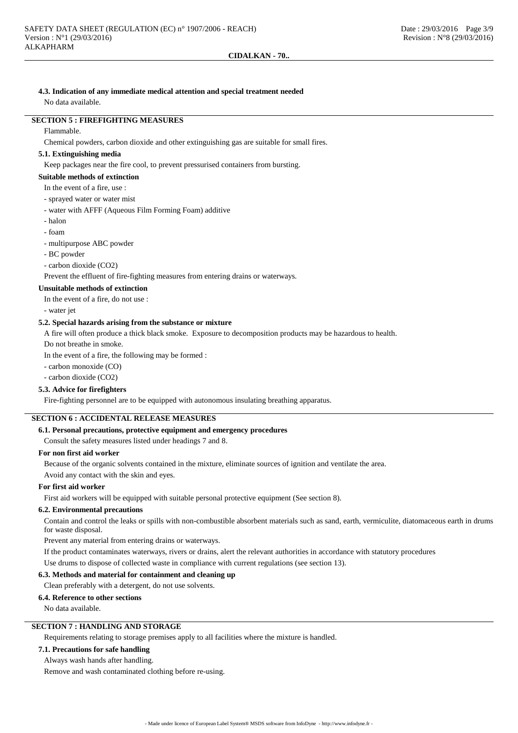# **4.3. Indication of any immediate medical attention and special treatment needed**

No data available.

# **SECTION 5 : FIREFIGHTING MEASURES**

#### Flammable.

Chemical powders, carbon dioxide and other extinguishing gas are suitable for small fires.

## **5.1. Extinguishing media**

Keep packages near the fire cool, to prevent pressurised containers from bursting.

# **Suitable methods of extinction**

- In the event of a fire, use :
- sprayed water or water mist
- water with AFFF (Aqueous Film Forming Foam) additive
- halon
- foam
- multipurpose ABC powder
- BC powder
- carbon dioxide (CO2)

Prevent the effluent of fire-fighting measures from entering drains or waterways.

## **Unsuitable methods of extinction**

In the event of a fire, do not use :

- water jet

# **5.2. Special hazards arising from the substance or mixture**

A fire will often produce a thick black smoke. Exposure to decomposition products may be hazardous to health.

Do not breathe in smoke.

In the event of a fire, the following may be formed :

- carbon monoxide (CO)

- carbon dioxide (CO2)

# **5.3. Advice for firefighters**

Fire-fighting personnel are to be equipped with autonomous insulating breathing apparatus.

# **SECTION 6 : ACCIDENTAL RELEASE MEASURES**

#### **6.1. Personal precautions, protective equipment and emergency procedures**

Consult the safety measures listed under headings 7 and 8.

# **For non first aid worker**

Because of the organic solvents contained in the mixture, eliminate sources of ignition and ventilate the area.

Avoid any contact with the skin and eyes.

# **For first aid worker**

First aid workers will be equipped with suitable personal protective equipment (See section 8).

#### **6.2. Environmental precautions**

Contain and control the leaks or spills with non-combustible absorbent materials such as sand, earth, vermiculite, diatomaceous earth in drums for waste disposal.

Prevent any material from entering drains or waterways.

If the product contaminates waterways, rivers or drains, alert the relevant authorities in accordance with statutory procedures Use drums to dispose of collected waste in compliance with current regulations (see section 13).

#### **6.3. Methods and material for containment and cleaning up**

Clean preferably with a detergent, do not use solvents.

#### **6.4. Reference to other sections**

No data available.

# **SECTION 7 : HANDLING AND STORAGE**

Requirements relating to storage premises apply to all facilities where the mixture is handled.

#### **7.1. Precautions for safe handling**

Always wash hands after handling.

Remove and wash contaminated clothing before re-using.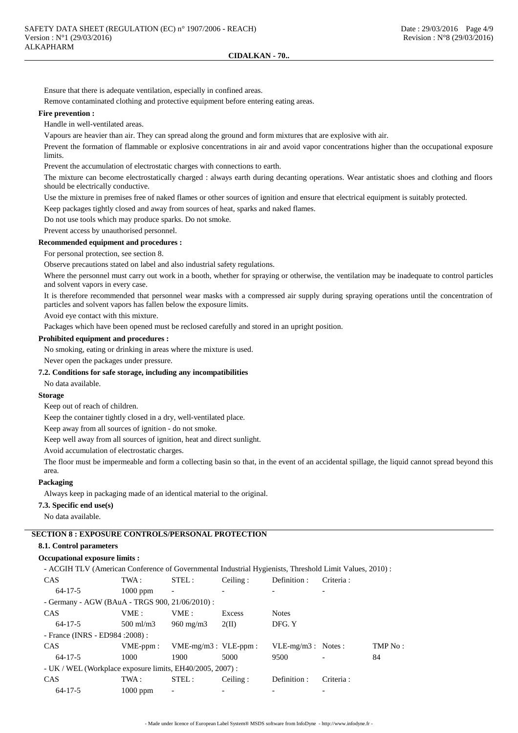Ensure that there is adequate ventilation, especially in confined areas.

Remove contaminated clothing and protective equipment before entering eating areas.

#### **Fire prevention :**

Handle in well-ventilated areas.

Vapours are heavier than air. They can spread along the ground and form mixtures that are explosive with air.

Prevent the formation of flammable or explosive concentrations in air and avoid vapor concentrations higher than the occupational exposure limits.

Prevent the accumulation of electrostatic charges with connections to earth.

The mixture can become electrostatically charged : always earth during decanting operations. Wear antistatic shoes and clothing and floors should be electrically conductive.

Use the mixture in premises free of naked flames or other sources of ignition and ensure that electrical equipment is suitably protected.

Keep packages tightly closed and away from sources of heat, sparks and naked flames.

Do not use tools which may produce sparks. Do not smoke.

Prevent access by unauthorised personnel.

# **Recommended equipment and procedures :**

For personal protection, see section 8.

Observe precautions stated on label and also industrial safety regulations.

Where the personnel must carry out work in a booth, whether for spraying or otherwise, the ventilation may be inadequate to control particles and solvent vapors in every case.

It is therefore recommended that personnel wear masks with a compressed air supply during spraying operations until the concentration of particles and solvent vapors has fallen below the exposure limits.

Avoid eye contact with this mixture.

Packages which have been opened must be reclosed carefully and stored in an upright position.

#### **Prohibited equipment and procedures :**

No smoking, eating or drinking in areas where the mixture is used.

Never open the packages under pressure.

## **7.2. Conditions for safe storage, including any incompatibilities**

No data available.

## **Storage**

Keep out of reach of children.

Keep the container tightly closed in a dry, well-ventilated place.

Keep away from all sources of ignition - do not smoke.

Keep well away from all sources of ignition, heat and direct sunlight.

Avoid accumulation of electrostatic charges.

The floor must be impermeable and form a collecting basin so that, in the event of an accidental spillage, the liquid cannot spread beyond this area.

## **Packaging**

Always keep in packaging made of an identical material to the original.

## **7.3. Specific end use(s)**

No data available.

# **SECTION 8 : EXPOSURE CONTROLS/PERSONAL PROTECTION**

# **8.1. Control parameters**

# **Occupational exposure limits :**

- ACGIH TLV (American Conference of Governmental Industrial Hygienists, Threshold Limit Values, 2010) :

| <b>CAS</b>                                                | TWA :       | STEL:                     | Ceiling: | Definition:          | Criteria: |         |
|-----------------------------------------------------------|-------------|---------------------------|----------|----------------------|-----------|---------|
| $64 - 17 - 5$                                             | $1000$ ppm  | $\overline{\phantom{a}}$  |          |                      |           |         |
| - Germany - AGW (BAuA - TRGS 900, 21/06/2010) :           |             |                           |          |                      |           |         |
| <b>CAS</b>                                                | VME:        | VME :                     | Excess   | <b>Notes</b>         |           |         |
| $64 - 17 - 5$                                             | $500$ ml/m3 | $960 \text{ mg/m}$        | 2(II)    | DFG. Y               |           |         |
| - France (INRS - ED984 : 2008) :                          |             |                           |          |                      |           |         |
| <b>CAS</b>                                                | $VME-ppm$ : | $VME-mg/m3$ : $VLE-ppm$ : |          | $VLE-mg/m3$ : Notes: |           | TMP No: |
| $64 - 17 - 5$                                             | 1000        | 1900                      | 5000     | 9500                 |           | 84      |
| - UK / WEL (Workplace exposure limits, EH40/2005, 2007) : |             |                           |          |                      |           |         |
| <b>CAS</b>                                                | TWA :       | STEL:                     | Ceiling: | Definition:          | Criteria: |         |
| $64 - 17 - 5$                                             | $1000$ ppm  | $\overline{\phantom{a}}$  |          |                      |           |         |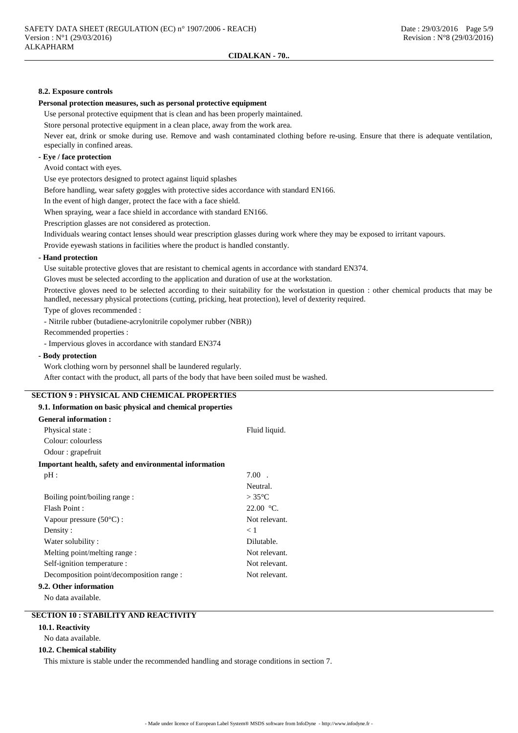#### **8.2. Exposure controls**

#### **Personal protection measures, such as personal protective equipment**

Use personal protective equipment that is clean and has been properly maintained.

Store personal protective equipment in a clean place, away from the work area.

Never eat, drink or smoke during use. Remove and wash contaminated clothing before re-using. Ensure that there is adequate ventilation, especially in confined areas.

# **- Eye / face protection**

Avoid contact with eyes.

Use eye protectors designed to protect against liquid splashes

Before handling, wear safety goggles with protective sides accordance with standard EN166.

In the event of high danger, protect the face with a face shield.

When spraying, wear a face shield in accordance with standard EN166.

Prescription glasses are not considered as protection.

Individuals wearing contact lenses should wear prescription glasses during work where they may be exposed to irritant vapours.

Provide eyewash stations in facilities where the product is handled constantly.

## **- Hand protection**

Use suitable protective gloves that are resistant to chemical agents in accordance with standard EN374.

Gloves must be selected according to the application and duration of use at the workstation.

Protective gloves need to be selected according to their suitability for the workstation in question : other chemical products that may be handled, necessary physical protections (cutting, pricking, heat protection), level of dexterity required.

Type of gloves recommended :

- Nitrile rubber (butadiene-acrylonitrile copolymer rubber (NBR))

Recommended properties :

- Impervious gloves in accordance with standard EN374

## **- Body protection**

Work clothing worn by personnel shall be laundered regularly.

After contact with the product, all parts of the body that have been soiled must be washed.

# **SECTION 9 : PHYSICAL AND CHEMICAL PROPERTIES**

# **9.1. Information on basic physical and chemical properties**

| <b>General information :</b>                           |                 |
|--------------------------------------------------------|-----------------|
| Physical state:                                        | Fluid liquid.   |
| Colour: colourless                                     |                 |
| Odour : grapefruit                                     |                 |
| Important health, safety and environmental information |                 |
| pH:                                                    | $7.00$ .        |
|                                                        | Neutral.        |
| Boiling point/boiling range:                           | $>35^{\circ}$ C |
| Flash Point:                                           | $22.00 °C$ .    |
| Vapour pressure $(50^{\circ}C)$ :                      | Not relevant.   |
| Density:                                               | $\lt 1$         |
| Water solubility:                                      | Dilutable.      |
| Melting point/melting range :                          | Not relevant.   |
| Self-ignition temperature :                            | Not relevant.   |
| Decomposition point/decomposition range :              | Not relevant.   |
| 9.2. Other information                                 |                 |

No data available.

# **SECTION 10 : STABILITY AND REACTIVITY**

## **10.1. Reactivity**

No data available.

#### **10.2. Chemical stability**

This mixture is stable under the recommended handling and storage conditions in section 7.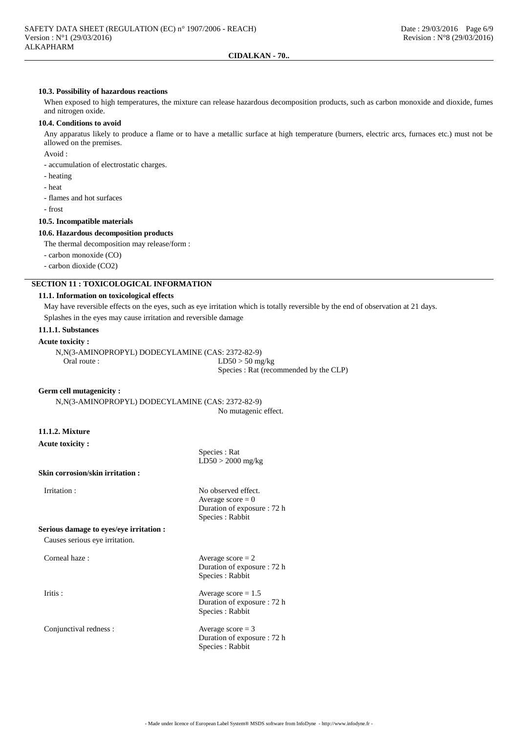#### **10.3. Possibility of hazardous reactions**

When exposed to high temperatures, the mixture can release hazardous decomposition products, such as carbon monoxide and dioxide, fumes and nitrogen oxide.

#### **10.4. Conditions to avoid**

Any apparatus likely to produce a flame or to have a metallic surface at high temperature (burners, electric arcs, furnaces etc.) must not be allowed on the premises.

Avoid :

- accumulation of electrostatic charges.

- heating
- heat
- flames and hot surfaces
- frost

#### **10.5. Incompatible materials**

## **10.6. Hazardous decomposition products**

The thermal decomposition may release/form :

- carbon monoxide (CO)

- carbon dioxide (CO2)

# **SECTION 11 : TOXICOLOGICAL INFORMATION**

## **11.1. Information on toxicological effects**

May have reversible effects on the eyes, such as eye irritation which is totally reversible by the end of observation at 21 days. Splashes in the eyes may cause irritation and reversible damage

#### **11.1.1. Substances**

#### **Acute toxicity :**

N,N(3-AMINOPROPYL) DODECYLAMINE (CAS: 2372-82-9) Oral route : LD50 > 50 mg/kg Species : Rat (recommended by the CLP)

## **Germ cell mutagenicity :**

N,N(3-AMINOPROPYL) DODECYLAMINE (CAS: 2372-82-9) No mutagenic effect.

# **11.1.2. Mixture**

**Acute toxicity :**

**Skin corrosion/skin irritation :**

Irritation : No observed effect. Average  $score = 0$ Duration of exposure : 72 h Species : Rabbit

Species : Rat  $LD50 > 2000$  mg/kg

**Serious damage to eyes/eye irritation :**

Causes serious eye irritation.

Corneal haze :  $Average score = 2$ 

Conjunctival redness : Average score = 3

Duration of exposure : 72 h Species : Rabbit

Iritis : Average score = 1.5 Duration of exposure : 72 h Species : Rabbit

> Duration of exposure : 72 h Species : Rabbit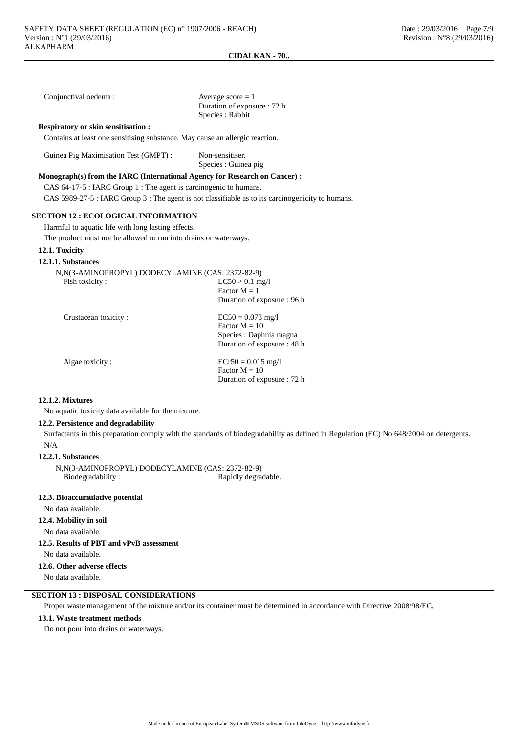| Conjunctival oedema:                                                             | Average score $= 1$<br>Duration of exposure : 72 h<br>Species: Rabbit                                                                  |  |  |  |  |
|----------------------------------------------------------------------------------|----------------------------------------------------------------------------------------------------------------------------------------|--|--|--|--|
| <b>Respiratory or skin sensitisation:</b>                                        |                                                                                                                                        |  |  |  |  |
| Contains at least one sensitising substance. May cause an allergic reaction.     |                                                                                                                                        |  |  |  |  |
| Guinea Pig Maximisation Test (GMPT) :<br>Non-sensitiser.<br>Species : Guinea pig |                                                                                                                                        |  |  |  |  |
| Monograph(s) from the IARC (International Agency for Research on Cancer) :       |                                                                                                                                        |  |  |  |  |
| CAS 64-17-5 : IARC Group 1 : The agent is carcinogenic to humans.                |                                                                                                                                        |  |  |  |  |
|                                                                                  | CAS 5989-27-5 : IARC Group 3 : The agent is not classifiable as to its carcinogenicity to humans.                                      |  |  |  |  |
| <b>SECTION 12: ECOLOGICAL INFORMATION</b>                                        |                                                                                                                                        |  |  |  |  |
| Harmful to aquatic life with long lasting effects.                               |                                                                                                                                        |  |  |  |  |
| The product must not be allowed to run into drains or waterways.                 |                                                                                                                                        |  |  |  |  |
| 12.1. Toxicity                                                                   |                                                                                                                                        |  |  |  |  |
| 12.1.1. Substances                                                               |                                                                                                                                        |  |  |  |  |
| N, N(3-AMINOPROPYL) DODECYLAMINE (CAS: 2372-82-9)                                |                                                                                                                                        |  |  |  |  |
| Fish toxicity:                                                                   | $LC50 > 0.1$ mg/l                                                                                                                      |  |  |  |  |
|                                                                                  | Factor $M = 1$                                                                                                                         |  |  |  |  |
|                                                                                  | Duration of exposure: 96 h                                                                                                             |  |  |  |  |
| Crustacean toxicity:                                                             | $EC50 = 0.078$ mg/l                                                                                                                    |  |  |  |  |
|                                                                                  | Factor $M = 10$                                                                                                                        |  |  |  |  |
|                                                                                  | Species : Daphnia magna                                                                                                                |  |  |  |  |
|                                                                                  | Duration of exposure : 48 h                                                                                                            |  |  |  |  |
| Algae toxicity:                                                                  | $ECr50 = 0.015$ mg/l                                                                                                                   |  |  |  |  |
|                                                                                  | Factor $M = 10$                                                                                                                        |  |  |  |  |
|                                                                                  | Duration of exposure : 72 h                                                                                                            |  |  |  |  |
| <b>12.1.2. Mixtures</b>                                                          |                                                                                                                                        |  |  |  |  |
| No aquatic toxicity data available for the mixture.                              |                                                                                                                                        |  |  |  |  |
| 12.2. Persistence and degradability                                              |                                                                                                                                        |  |  |  |  |
|                                                                                  | Surfactants in this preparation comply with the standards of biodegradability as defined in Regulation (EC) No 648/2004 on detergents. |  |  |  |  |
| N/A                                                                              |                                                                                                                                        |  |  |  |  |
| 12.2.1. Substances                                                               |                                                                                                                                        |  |  |  |  |
| N, N(3-AMINOPROPYL) DODECYLAMINE (CAS: 2372-82-9)                                |                                                                                                                                        |  |  |  |  |

Biodegradability : Rapidly degradable.

## **12.3. Bioaccumulative potential**

No data available.

# **12.4. Mobility in soil**

No data available.

**12.5. Results of PBT and vPvB assessment**

No data available.

# **12.6. Other adverse effects**

No data available.

# **SECTION 13 : DISPOSAL CONSIDERATIONS**

Proper waste management of the mixture and/or its container must be determined in accordance with Directive 2008/98/EC.

## **13.1. Waste treatment methods**

Do not pour into drains or waterways.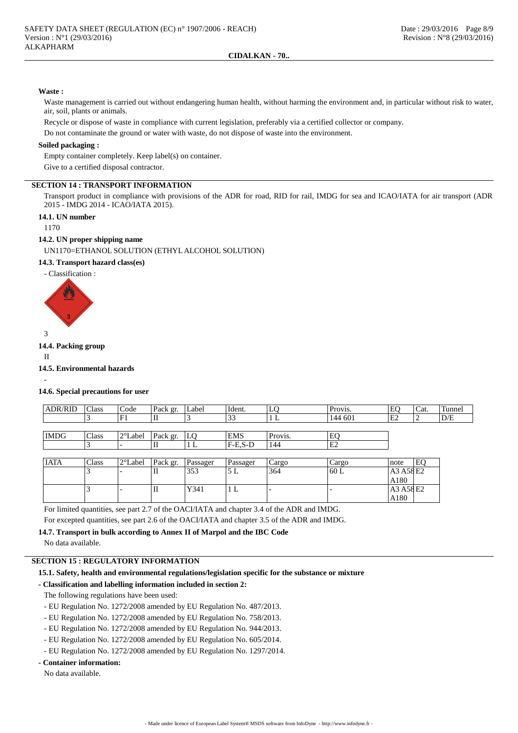#### **Waste :**

Waste management is carried out without endangering human health, without harming the environment and, in particular without risk to water, air, soil, plants or animals.

Recycle or dispose of waste in compliance with current legislation, preferably via a certified collector or company.

Do not contaminate the ground or water with waste, do not dispose of waste into the environment.

## **Soiled packaging :**

Empty container completely. Keep label(s) on container.

Give to a certified disposal contractor.

# **SECTION 14 : TRANSPORT INFORMATION**

Transport product in compliance with provisions of the ADR for road, RID for rail, IMDG for sea and ICAO/IATA for air transport (ADR 2015 - IMDG 2014 - ICAO/IATA 2015).

# **14.1. UN number**

1170

#### **14.2. UN proper shipping name**

UN1170=ETHANOL SOLUTION (ETHYL ALCOHOL SOLUTION)

# **14.3. Transport hazard class(es)**

- Classification :



#### **14.4. Packing group**

II

-

# **14.5. Environmental hazards**

#### **14.6. Special precautions for user**

| <b>ADR/RID</b> | Class | Code    | Pack gr. | Label | Ident.     | LC      | Provis. | EO | 'Cat.    | Tunnel |
|----------------|-------|---------|----------|-------|------------|---------|---------|----|----------|--------|
|                |       | F1      | П        |       | ر_ ر_      |         | 144 601 | E2 | <u>_</u> | D/E    |
|                |       |         |          |       |            |         |         |    |          |        |
| <b>IMDG</b>    | Class | 2°Label | Pack gr. | L0    | <b>EMS</b> | Provis. | EC      |    |          |        |
|                |       |         | ш        | ш,    | $F-E.S-D$  | 144     | 'E2     |    |          |        |

| <b>IATA</b> | Class | $2^{\circ}$ Label | Pack gr. | Passager | Passager | Cargo | Cargo | note      | E0 |
|-------------|-------|-------------------|----------|----------|----------|-------|-------|-----------|----|
|             |       |                   | п        | 353      | ىد ر     | 364   | 160 L | A3 A58 E2 |    |
|             |       |                   |          |          |          |       |       | A180      |    |
|             |       |                   | п        | Y341     | 1 L      |       |       | A3 A58 E2 |    |
|             |       |                   |          |          |          |       |       | A180      |    |

For limited quantities, see part 2.7 of the OACI/IATA and chapter 3.4 of the ADR and IMDG.

For excepted quantities, see part 2.6 of the OACI/IATA and chapter 3.5 of the ADR and IMDG.

**14.7. Transport in bulk according to Annex II of Marpol and the IBC Code**

No data available.

## **SECTION 15 : REGULATORY INFORMATION**

#### **15.1. Safety, health and environmental regulations/legislation specific for the substance or mixture**

## **- Classification and labelling information included in section 2:**

The following regulations have been used:

- EU Regulation No. 1272/2008 amended by EU Regulation No. 487/2013.
- EU Regulation No. 1272/2008 amended by EU Regulation No. 758/2013.
- EU Regulation No. 1272/2008 amended by EU Regulation No. 944/2013.
- EU Regulation No. 1272/2008 amended by EU Regulation No. 605/2014.
- EU Regulation No. 1272/2008 amended by EU Regulation No. 1297/2014.

# **- Container information:**

No data available.